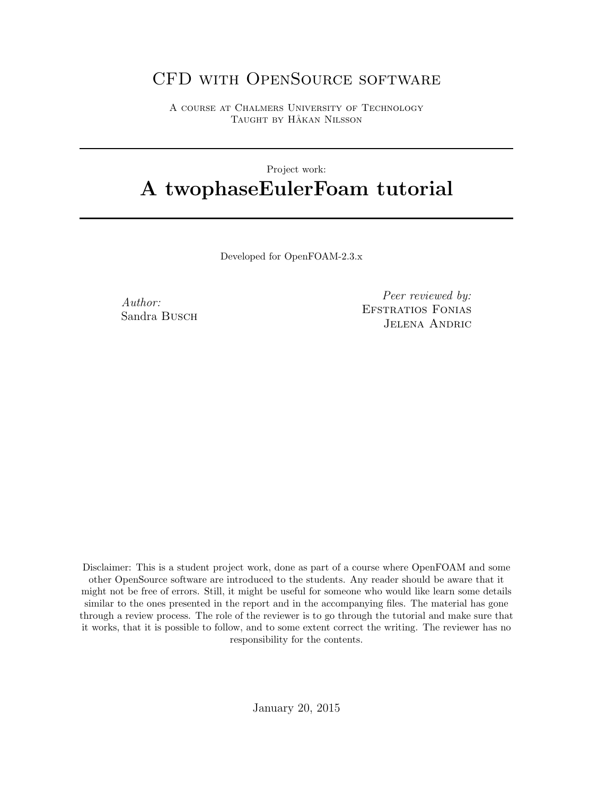# CFD with OpenSource software

A course at Chalmers University of Technology TAUGHT BY HÅKAN NILSSON

# Project work: A twophaseEulerFoam tutorial

Developed for OpenFOAM-2.3.x

Author: Sandra Busch

Peer reviewed by: Efstratios Fonias Jelena Andric

Disclaimer: This is a student project work, done as part of a course where OpenFOAM and some other OpenSource software are introduced to the students. Any reader should be aware that it might not be free of errors. Still, it might be useful for someone who would like learn some details similar to the ones presented in the report and in the accompanying files. The material has gone through a review process. The role of the reviewer is to go through the tutorial and make sure that it works, that it is possible to follow, and to some extent correct the writing. The reviewer has no responsibility for the contents.

January 20, 2015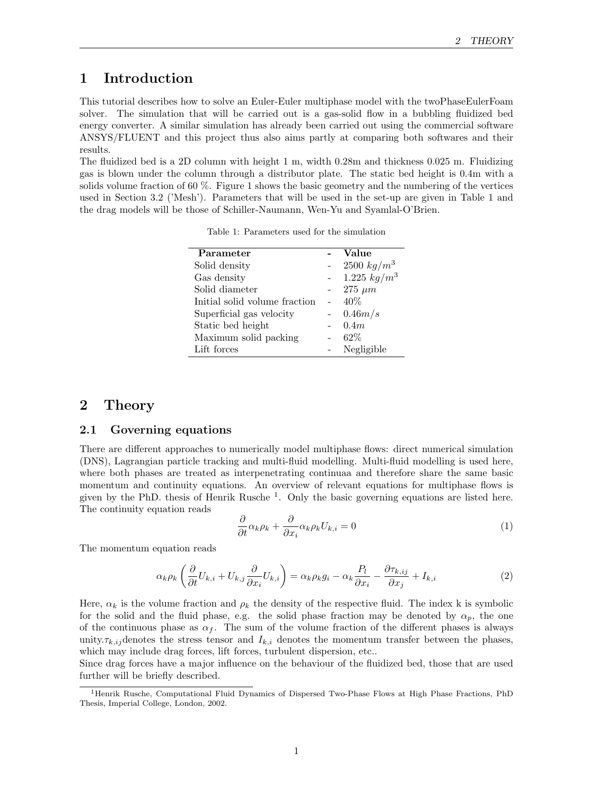# 1 Introduction

This tutorial describes how to solve an Euler-Euler multiphase model with the twoPhaseEulerFoam solver. The simulation that will be carried out is a gas-solid flow in a bubbling fluidized bed energy converter. A similar simulation has already been carried out using the commercial software ANSYS/FLUENT and this project thus also aims partly at comparing both softwares and their results.

The fluidized bed is a 2D column with height 1 m, width 0.28m and thickness 0.025 m. Fluidizing gas is blown under the column through a distributor plate. The static bed height is 0.4m with a solids volume fraction of 60 %. Figure 1 shows the basic geometry and the numbering of the vertices used in Section 3.2 ('Mesh'). Parameters that will be used in the set-up are given in Table 1 and the drag models will be those of Schiller-Naumann, Wen-Yu and Syamlal-O'Brien.

Table 1: Parameters used for the simulation

| Parameter                     | Value                                |
|-------------------------------|--------------------------------------|
| Solid density                 | $2500 \ kg/m^3$                      |
| Gas density                   | 1.225 $\frac{1}{kg}$ /m <sup>3</sup> |
| Solid diameter                | $275 \ \mu m$                        |
| Initial solid volume fraction | 40%                                  |
| Superficial gas velocity      | 0.46m/s                              |
| Static bed height             | 0.4m                                 |
| Maximum solid packing         | $62\%$                               |
| Lift forces                   | Negligible                           |

# 2 Theory

#### 2.1 Governing equations

There are different approaches to numerically model multiphase flows: direct numerical simulation (DNS), Lagrangian particle tracking and multi-fluid modelling. Multi-fluid modelling is used here, where both phases are treated as interpenetrating continuaa and therefore share the same basic momentum and continuity equations. An overview of relevant equations for multiphase flows is given by the PhD. thesis of Henrik Rusche<sup>1</sup>. Only the basic governing equations are listed here. The continuity equation reads

$$
\frac{\partial}{\partial t}\alpha_k \rho_k + \frac{\partial}{\partial x_i} \alpha_k \rho_k U_{k,i} = 0 \tag{1}
$$

The momentum equation reads

$$
\alpha_k \rho_k \left( \frac{\partial}{\partial t} U_{k,i} + U_{k,j} \frac{\partial}{\partial x_i} U_{k,i} \right) = \alpha_k \rho_k g_i - \alpha_k \frac{P_l}{\partial x_i} - \frac{\partial \tau_{k,ij}}{\partial x_j} + I_{k,i}
$$
(2)

Here,  $\alpha_k$  is the volume fraction and  $\rho_k$  the density of the respective fluid. The index k is symbolic for the solid and the fluid phase, e.g. the solid phase fraction may be denoted by  $\alpha_p$ , the one of the continuous phase as  $\alpha_f$ . The sum of the volume fraction of the different phases is always unity. $\tau_{k,i,j}$  denotes the stress tensor and  $I_{k,i}$  denotes the momentum transfer between the phases, which may include drag forces, lift forces, turbulent dispersion, etc..

Since drag forces have a major influence on the behaviour of the fluidized bed, those that are used further will be briefly described.

<sup>1</sup>Henrik Rusche, Computational Fluid Dynamics of Dispersed Two-Phase Flows at High Phase Fractions, PhD Thesis, Imperial College, London, 2002.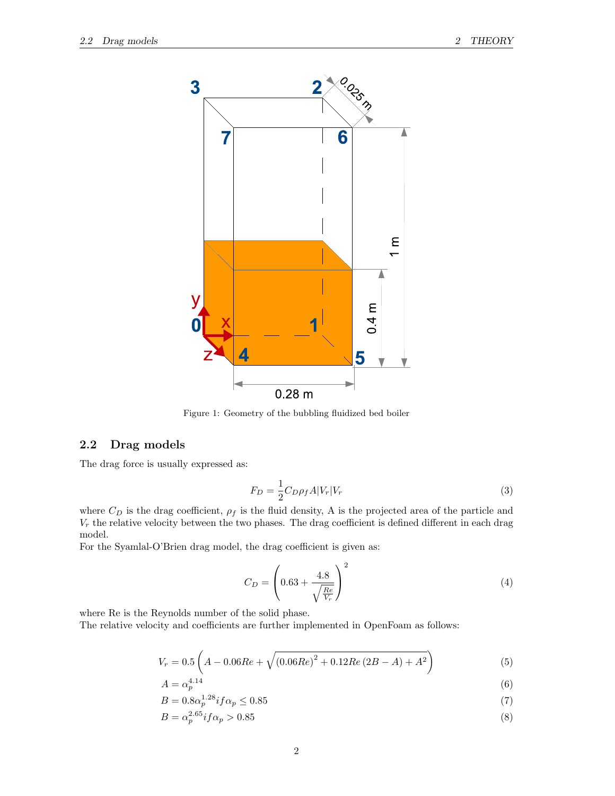

Figure 1: Geometry of the bubbling fluidized bed boiler

## 2.2 Drag models

The drag force is usually expressed as:

$$
F_D = \frac{1}{2} C_D \rho_f A |V_r| V_r \tag{3}
$$

where  $C_D$  is the drag coefficient,  $\rho_f$  is the fluid density, A is the projected area of the particle and  $V_r$  the relative velocity between the two phases. The drag coefficient is defined different in each drag model.

For the Syamlal-O'Brien drag model, the drag coefficient is given as:

$$
C_D = \left(0.63 + \frac{4.8}{\sqrt{\frac{Re}{V_r}}}\right)^2\tag{4}
$$

where Re is the Reynolds number of the solid phase.

The relative velocity and coefficients are further implemented in OpenFoam as follows:

$$
V_r = 0.5\left(A - 0.06Re + \sqrt{(0.06Re)^2 + 0.12Re(2B - A) + A^2}\right)
$$
\n(5)

$$
A = \alpha_p^{4.14} \tag{6}
$$

$$
B = 0.8\alpha_p^{1.28} if \alpha_p \le 0.85
$$
 (7)

$$
B = \alpha_p^{2.65} i f \alpha_p > 0.85 \tag{8}
$$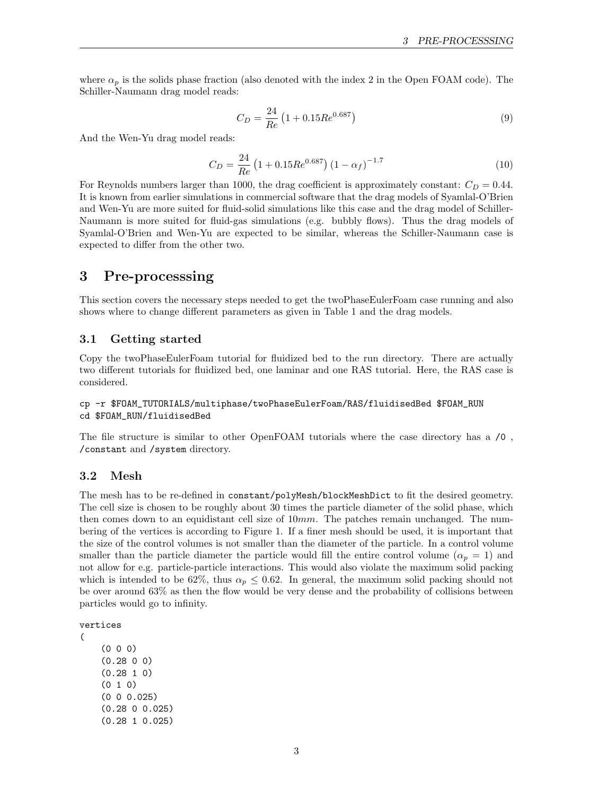where  $\alpha_p$  is the solids phase fraction (also denoted with the index 2 in the Open FOAM code). The Schiller-Naumann drag model reads:

$$
C_D = \frac{24}{Re} \left( 1 + 0.15 Re^{0.687} \right) \tag{9}
$$

And the Wen-Yu drag model reads:

$$
C_D = \frac{24}{Re} \left( 1 + 0.15 Re^{0.687} \right) \left( 1 - \alpha_f \right)^{-1.7}
$$
 (10)

For Reynolds numbers larger than 1000, the drag coefficient is approximately constant:  $C_D = 0.44$ . It is known from earlier simulations in commercial software that the drag models of Syamlal-O'Brien and Wen-Yu are more suited for fluid-solid simulations like this case and the drag model of Schiller-Naumann is more suited for fluid-gas simulations (e.g. bubbly flows). Thus the drag models of Syamlal-O'Brien and Wen-Yu are expected to be similar, whereas the Schiller-Naumann case is expected to differ from the other two.

# 3 Pre-processsing

This section covers the necessary steps needed to get the twoPhaseEulerFoam case running and also shows where to change different parameters as given in Table 1 and the drag models.

#### 3.1 Getting started

Copy the twoPhaseEulerFoam tutorial for fluidized bed to the run directory. There are actually two different tutorials for fluidized bed, one laminar and one RAS tutorial. Here, the RAS case is considered.

### cp -r \$FOAM\_TUTORIALS/multiphase/twoPhaseEulerFoam/RAS/fluidisedBed \$FOAM\_RUN cd \$FOAM\_RUN/fluidisedBed

The file structure is similar to other OpenFOAM tutorials where the case directory has a /0 , /constant and /system directory.

#### 3.2 Mesh

The mesh has to be re-defined in constant/polyMesh/blockMeshDict to fit the desired geometry. The cell size is chosen to be roughly about 30 times the particle diameter of the solid phase, which then comes down to an equidistant cell size of  $10mm$ . The patches remain unchanged. The numbering of the vertices is according to Figure 1. If a finer mesh should be used, it is important that the size of the control volumes is not smaller than the diameter of the particle. In a control volume smaller than the particle diameter the particle would fill the entire control volume ( $\alpha_p = 1$ ) and not allow for e.g. particle-particle interactions. This would also violate the maximum solid packing which is intended to be 62%, thus  $\alpha_p \leq 0.62$ . In general, the maximum solid packing should not be over around 63% as then the flow would be very dense and the probability of collisions between particles would go to infinity.

```
vertices
```
(

(0 0 0) (0.28 0 0) (0.28 1 0) (0 1 0) (0 0 0.025) (0.28 0 0.025) (0.28 1 0.025)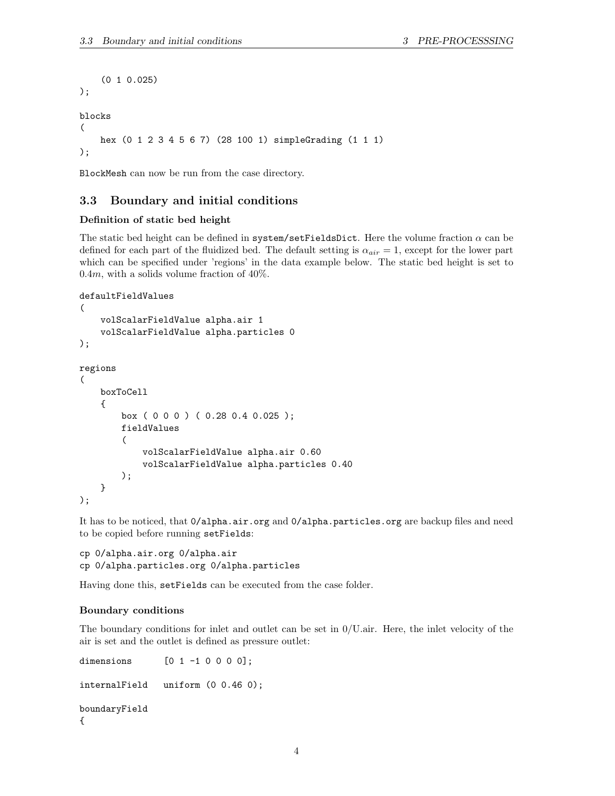```
(0 1 0.025)
);
blocks
(
    hex (0 1 2 3 4 5 6 7) (28 100 1) simpleGrading (1 1 1)
);
```
BlockMesh can now be run from the case directory.

### 3.3 Boundary and initial conditions

#### Definition of static bed height

The static bed height can be defined in system/setFieldsDict. Here the volume fraction  $\alpha$  can be defined for each part of the fluidized bed. The default setting is  $\alpha_{air} = 1$ , except for the lower part which can be specified under 'regions' in the data example below. The static bed height is set to 0.4m, with a solids volume fraction of  $40\%$ .

```
defaultFieldValues
```

```
(
    volScalarFieldValue alpha.air 1
    volScalarFieldValue alpha.particles 0
);
regions
(
    boxToCell
    {
        box ( 0 0 0 ) ( 0.28 0.4 0.025 );
        fieldValues
        (
            volScalarFieldValue alpha.air 0.60
            volScalarFieldValue alpha.particles 0.40
        );
    }
);
```
It has to be noticed, that  $0$ /alpha.air.org and  $0$ /alpha.particles.org are backup files and need to be copied before running setFields:

cp 0/alpha.air.org 0/alpha.air cp 0/alpha.particles.org 0/alpha.particles

Having done this, setFields can be executed from the case folder.

#### Boundary conditions

The boundary conditions for inlet and outlet can be set in  $0/U$ .air. Here, the inlet velocity of the air is set and the outlet is defined as pressure outlet:

```
dimensions [0 1 -1 0 0 0 0];internalField uniform (0 0.46 0);
boundaryField
{
```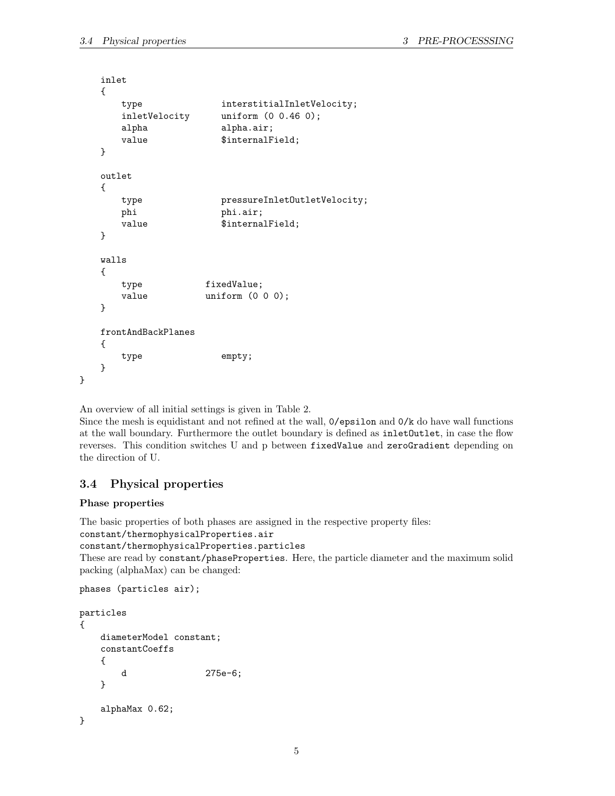```
inlet
{
  type interstitialInletVelocity;
  inletVelocity uniform (0 0.46 0);
  alpha alpha.air;
  value $internalField;
}
outlet
{
  type pressureInletOutletVelocity;
  phi phi.air;
  value $internalField;
}
walls
{
  type fixedValue;
  value uniform (0 0 0);
}
frontAndBackPlanes
{
  type empty;
}
```
An overview of all initial settings is given in Table 2.

Since the mesh is equidistant and not refined at the wall, 0/epsilon and 0/k do have wall functions at the wall boundary. Furthermore the outlet boundary is defined as inletOutlet, in case the flow reverses. This condition switches U and p between fixedValue and zeroGradient depending on the direction of U.

## 3.4 Physical properties

#### Phase properties

}

The basic properties of both phases are assigned in the respective property files: constant/thermophysicalProperties.air constant/thermophysicalProperties.particles

These are read by constant/phaseProperties. Here, the particle diameter and the maximum solid packing (alphaMax) can be changed:

```
phases (particles air);
```

```
particles
{
   diameterModel constant;
   constantCoeffs
   {
       d 275e-6;
   }
   alphaMax 0.62;
}
```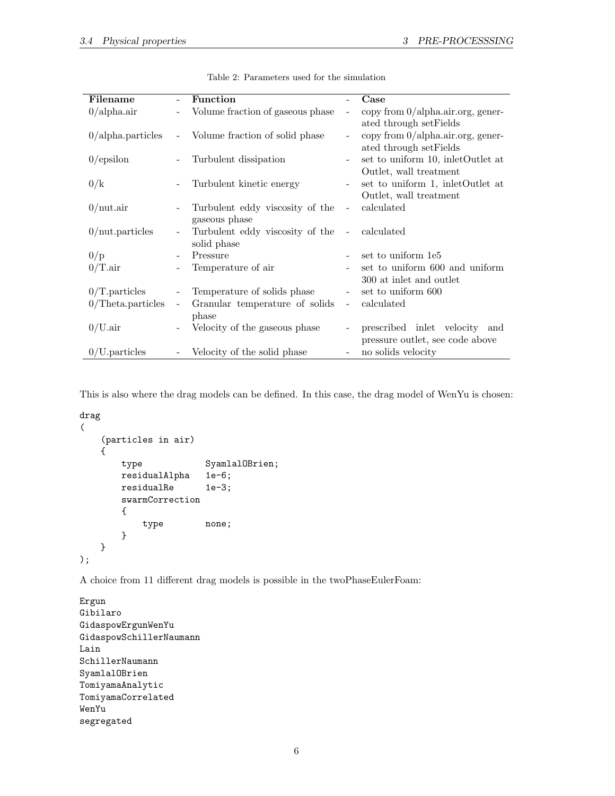| Filename             |                          | Function                                         |                          | Case                                                                |
|----------------------|--------------------------|--------------------------------------------------|--------------------------|---------------------------------------------------------------------|
| $0$ /alpha.air       |                          | Volume fraction of gaseous phase                 |                          | copy from $0/a$ lpha.air.org, gener-<br>ated through set Fields     |
| $0$ /alpha.particles |                          | Volume fraction of solid phase                   |                          | copy from 0/alpha.air.org, gener-<br>ated through setFields         |
| $0$ /epsilon         |                          | Turbulent dissipation                            |                          | set to uniform 10, inletOutlet at<br>Outlet, wall treatment         |
| 0/k                  |                          | Turbulent kinetic energy                         | $\overline{\phantom{0}}$ | set to uniform 1, indetOutlet at<br>Outlet, wall treatment          |
| $0$ /nut.air         |                          | Turbulent eddy viscosity of the<br>gaseous phase | $\overline{\phantom{0}}$ | calculated                                                          |
| $0$ /nut.particles   |                          | Turbulent eddy viscosity of the<br>solid phase   | $\overline{\phantom{a}}$ | calculated                                                          |
| 0/p                  | $\overline{\phantom{0}}$ | Pressure                                         |                          | set to uniform 1e5                                                  |
| $0/T.\text{air}$     |                          | Temperature of air                               |                          | set to uniform 600 and uniform<br>300 at inlet and outlet           |
| $0/T$ . particles    |                          | Temperature of solids phase                      |                          | set to uniform 600                                                  |
| $0/T$ heta.particles | $\qquad \qquad -$        | Granular temperature of solids<br>phase          | $\overline{\phantom{0}}$ | calculated                                                          |
| $0/U$ .air           |                          | Velocity of the gaseous phase                    |                          | prescribed inlet velocity<br>and<br>pressure outlet, see code above |
| $0/U$ . particles    |                          | Velocity of the solid phase                      |                          | no solids velocity                                                  |

Table 2: Parameters used for the simulation

This is also where the drag models can be defined. In this case, the drag model of WenYu is chosen:

```
drag
(
   (particles in air)
   {
       type SyamlalOBrien;
       residualAlpha 1e-6;
       residualRe 1e-3;
       swarmCorrection
       {
          type none;
       }
   }
);
```
A choice from 11 different drag models is possible in the twoPhaseEulerFoam:

```
Ergun
Gibilaro
GidaspowErgunWenYu
GidaspowSchillerNaumann
Lain
SchillerNaumann
SyamlalOBrien
TomiyamaAnalytic
TomiyamaCorrelated
WenYu
segregated
```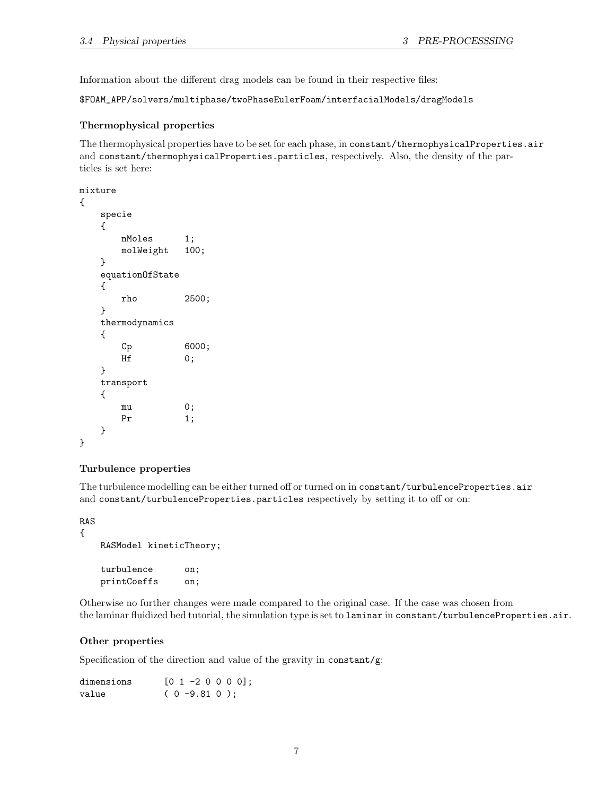Information about the different drag models can be found in their respective files:

\$FOAM\_APP/solvers/multiphase/twoPhaseEulerFoam/interfacialModels/dragModels

### Thermophysical properties

The thermophysical properties have to be set for each phase, in constant/thermophysicalProperties.air and constant/thermophysicalProperties.particles, respectively. Also, the density of the particles is set here:

```
mixture
{
   specie
   {
      nMoles 1;
      molWeight 100;
   }
   equationOfState
   {
      rho 2500;
   }
   thermodynamics
   {
      Cp 6000;
      Hf 0;
   }
   transport
   {
      mu 0;
      Pr 1;
   }
}
```
#### Turbulence properties

The turbulence modelling can be either turned off or turned on in constant/turbulenceProperties.air and constant/turbulenceProperties.particles respectively by setting it to off or on:

RAS {

```
RASModel kineticTheory;
turbulence on;
printCoeffs on;
```
Otherwise no further changes were made compared to the original case. If the case was chosen from the laminar fluidized bed tutorial, the simulation type is set to laminar in constant/turbulenceProperties.air.

### Other properties

Specification of the direction and value of the gravity in constant/g:

| dimensions | $[0 1 -2 0 0 0 0]$ ; |  |
|------------|----------------------|--|
| value      | $(0 - 9.81 0)$ :     |  |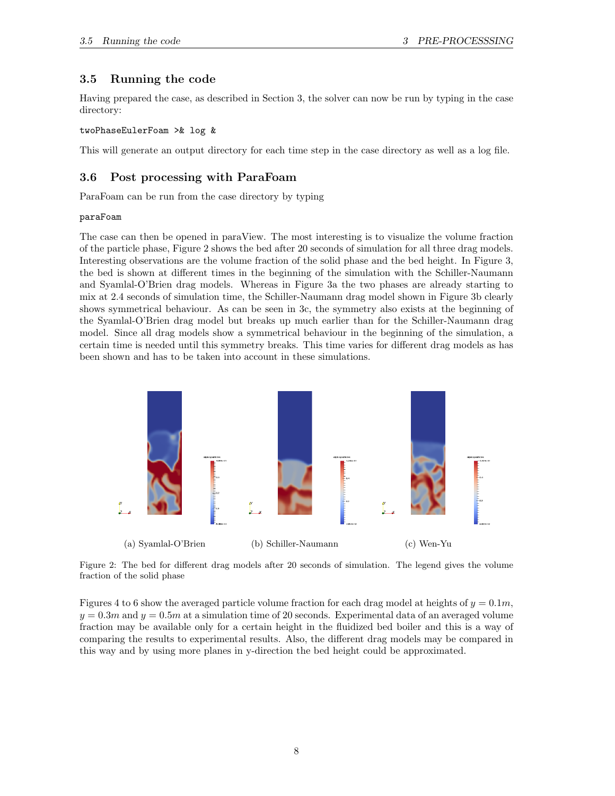# 3.5 Running the code

Having prepared the case, as described in Section 3, the solver can now be run by typing in the case directory:

### twoPhaseEulerFoam >& log &

This will generate an output directory for each time step in the case directory as well as a log file.

# 3.6 Post processing with ParaFoam

ParaFoam can be run from the case directory by typing

### paraFoam

The case can then be opened in paraView. The most interesting is to visualize the volume fraction of the particle phase, Figure 2 shows the bed after 20 seconds of simulation for all three drag models. Interesting observations are the volume fraction of the solid phase and the bed height. In Figure 3, the bed is shown at different times in the beginning of the simulation with the Schiller-Naumann and Syamlal-O'Brien drag models. Whereas in Figure 3a the two phases are already starting to mix at 2.4 seconds of simulation time, the Schiller-Naumann drag model shown in Figure 3b clearly shows symmetrical behaviour. As can be seen in 3c, the symmetry also exists at the beginning of the Syamlal-O'Brien drag model but breaks up much earlier than for the Schiller-Naumann drag model. Since all drag models show a symmetrical behaviour in the beginning of the simulation, a certain time is needed until this symmetry breaks. This time varies for different drag models as has been shown and has to be taken into account in these simulations.



Figure 2: The bed for different drag models after 20 seconds of simulation. The legend gives the volume fraction of the solid phase

Figures 4 to 6 show the averaged particle volume fraction for each drag model at heights of  $y = 0.1m$ ,  $y = 0.3m$  and  $y = 0.5m$  at a simulation time of 20 seconds. Experimental data of an averaged volume fraction may be available only for a certain height in the fluidized bed boiler and this is a way of comparing the results to experimental results. Also, the different drag models may be compared in this way and by using more planes in y-direction the bed height could be approximated.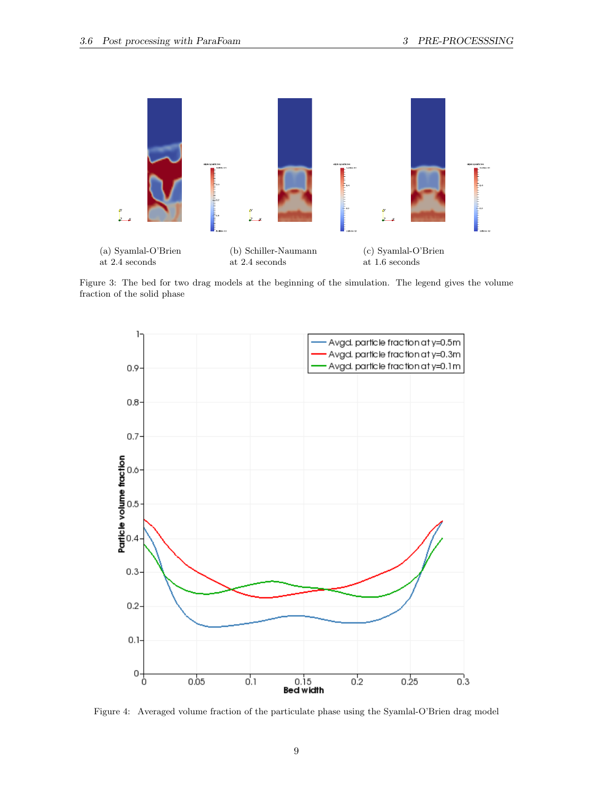

Figure 3: The bed for two drag models at the beginning of the simulation. The legend gives the volume fraction of the solid phase



Figure 4: Averaged volume fraction of the particulate phase using the Syamlal-O'Brien drag model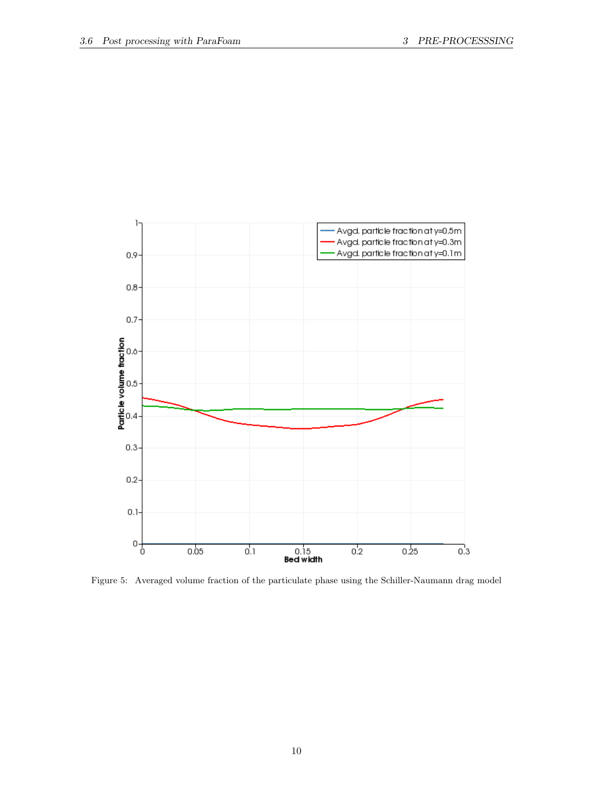

Figure 5: Averaged volume fraction of the particulate phase using the Schiller-Naumann drag model